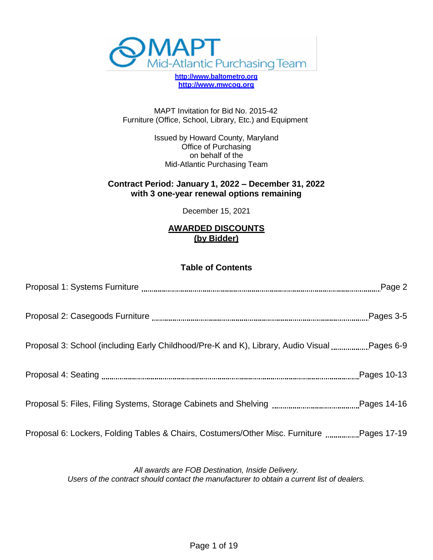

**[http://www.baltometro.org](http://www.baltometro.org/) [http://www.mwcog.org](http://www.mwcog.org/)**

MAPT Invitation for Bid No. 2015-42 Furniture (Office, School, Library, Etc.) and Equipment

> Issued by Howard County, Maryland Office of Purchasing on behalf of the Mid-Atlantic Purchasing Team

#### **Contract Period: January 1, 2022 – December 31, 2022 with 3 one-year renewal options remaining**

December 15, 2021

### **AWARDED DISCOUNTS (by Bidder)**

### **Table of Contents**

| Proposal 6: Lockers, Folding Tables & Chairs, Costumers/Other Misc. Furniture Pages 17-19 |  |
|-------------------------------------------------------------------------------------------|--|

*All awards are FOB Destination, Inside Delivery. Users of the contract should contact the manufacturer to obtain a current list of dealers.*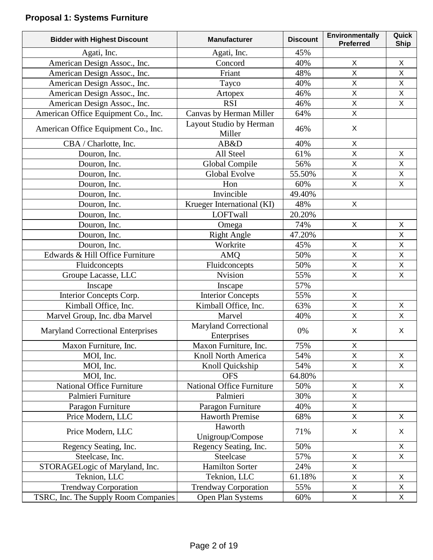# **Proposal 1: Systems Furniture**

| <b>Bidder with Highest Discount</b>      | <b>Manufacturer</b>                         | <b>Discount</b> | Environmentally<br><b>Preferred</b> | Quick<br><b>Ship</b> |
|------------------------------------------|---------------------------------------------|-----------------|-------------------------------------|----------------------|
| Agati, Inc.                              | Agati, Inc.                                 | 45%             |                                     |                      |
| American Design Assoc., Inc.             | Concord                                     | 40%             | X                                   | $\pmb{\times}$       |
| American Design Assoc., Inc.             | Friant                                      | 48%             | $\mathsf{X}$                        | $\pmb{\times}$       |
| American Design Assoc., Inc.             | Tayco                                       | 40%             | $\mathsf{X}$                        | $\pmb{\times}$       |
| American Design Assoc., Inc.             | Artopex                                     | 46%             | $\mathsf{X}$                        | $\mathsf X$          |
| American Design Assoc., Inc.             | <b>RSI</b>                                  | 46%             | $\mathsf X$                         | X                    |
| American Office Equipment Co., Inc.      | Canvas by Herman Miller                     | 64%             | $\mathsf{X}$                        |                      |
| American Office Equipment Co., Inc.      | Layout Studio by Herman<br>Miller           | 46%             | X                                   |                      |
| CBA / Charlotte, Inc.                    | AB&D                                        | 40%             | $\mathsf{X}$                        |                      |
| Douron, Inc.                             | All Steel                                   | 61%             | $\mathsf{X}$                        | X                    |
| Douron, Inc.                             | Global Compile                              | 56%             | $\mathsf{X}$                        | X                    |
| Douron, Inc.                             | Global Evolve                               | 55.50%          | $\mathsf{X}$                        | $\pmb{\times}$       |
| Douron, Inc.                             | Hon                                         | 60%             | $\mathsf{X}$                        | X                    |
| Douron, Inc.                             | Invincible                                  | 49.40%          |                                     |                      |
| Douron, Inc.                             | Krueger International (KI)                  | 48%             | $\mathsf{X}$                        |                      |
| Douron, Inc.                             | LOFTwall                                    | 20.20%          |                                     |                      |
| Douron, Inc.                             | Omega                                       | 74%             | $\mathsf{X}$                        | $\sf X$              |
| Douron, Inc.                             | <b>Right Angle</b>                          | 47.20%          |                                     | X                    |
| Douron, Inc.                             | Workrite                                    | 45%             | $\mathsf X$                         | X                    |
| Edwards & Hill Office Furniture          | <b>AMQ</b>                                  | 50%             | $\mathsf{X}$                        | $\mathsf X$          |
| Fluidconcepts                            | Fluidconcepts                               | 50%             | X                                   | X                    |
| Groupe Lacasse, LLC                      | <b>Nvision</b>                              | 55%             | $\mathsf X$                         | $\pmb{\times}$       |
| Inscape                                  | Inscape                                     | 57%             |                                     |                      |
| Interior Concepts Corp.                  | <b>Interior Concepts</b>                    | 55%             | X                                   |                      |
| Kimball Office, Inc.                     | Kimball Office, Inc.                        | 63%             | $\mathsf{X}$                        | X                    |
| Marvel Group, Inc. dba Marvel            | Marvel                                      | 40%             | X                                   | X                    |
| <b>Maryland Correctional Enterprises</b> | <b>Maryland Correctional</b><br>Enterprises | 0%              | X                                   | X                    |
| Maxon Furniture, Inc.                    | Maxon Furniture, Inc.                       | 75%             | X                                   |                      |
| MOI, Inc.                                | Knoll North America                         | 54%             | X                                   | X                    |
| MOI, Inc.                                | Knoll Quickship                             | 54%             | $\mathsf{X}$                        | X                    |
| MOI, Inc.                                | <b>OFS</b>                                  | 64.80%          |                                     |                      |
| National Office Furniture                | <b>National Office Furniture</b>            | 50%             | X                                   | X                    |
| Palmieri Furniture                       | Palmieri                                    | 30%             | X                                   |                      |
| Paragon Furniture                        | Paragon Furniture                           | 40%             | X                                   |                      |
| Price Modern, LLC                        | <b>Haworth Premise</b>                      | 68%             | $\mathsf{X}$                        | X                    |
| Price Modern, LLC                        | Haworth<br>Unigroup/Compose                 | 71%             | X                                   | X                    |
| Regency Seating, Inc.                    | Regency Seating, Inc.                       | 50%             |                                     | X                    |
| Steelcase, Inc.                          | Steelcase                                   | 57%             | X                                   | X                    |
| STORAGELogic of Maryland, Inc.           | <b>Hamilton Sorter</b>                      | 24%             | X                                   |                      |
| Teknion, LLC                             | Teknion, LLC                                | 61.18%          | X                                   | X                    |
| <b>Trendway Corporation</b>              | <b>Trendway Corporation</b>                 | 55%             | $\pmb{\times}$                      | X                    |
| TSRC, Inc. The Supply Room Companies     | Open Plan Systems                           | 60%             | $\mathsf X$                         | $\mathsf X$          |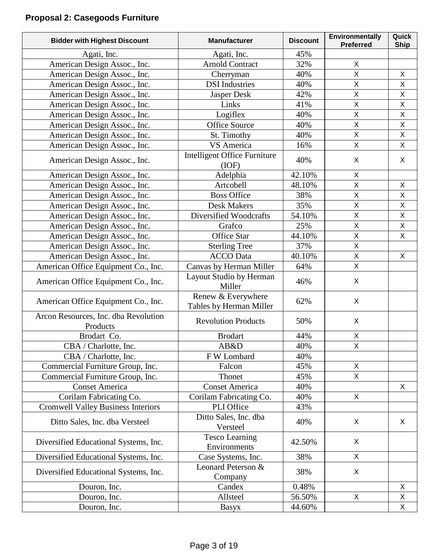# **Proposal 2: Casegoods Furniture**

| <b>Bidder with Highest Discount</b>              | <b>Manufacturer</b>                           | <b>Discount</b> | <b>Environmentally</b><br><b>Preferred</b> | Quick<br><b>Ship</b> |
|--------------------------------------------------|-----------------------------------------------|-----------------|--------------------------------------------|----------------------|
| Agati, Inc.                                      | Agati, Inc.                                   | 45%             |                                            |                      |
| American Design Assoc., Inc.                     | <b>Arnold Contract</b>                        | 32%             | X                                          |                      |
| American Design Assoc., Inc.                     | Cherryman                                     | 40%             | $\mathsf{X}$                               | X                    |
| American Design Assoc., Inc.                     | <b>DSI</b> Industries                         | 40%             | $\mathsf{X}$                               | $\mathsf{X}$         |
| American Design Assoc., Inc.                     | Jasper Desk                                   | 42%             | $\mathsf X$                                | X                    |
| American Design Assoc., Inc.                     | Links                                         | 41%             | $\overline{X}$                             | $\mathsf{X}$         |
| American Design Assoc., Inc.                     | Logiflex                                      | 40%             | $\mathsf{X}$                               | X                    |
| American Design Assoc., Inc.                     | <b>Office Source</b>                          | 40%             | X                                          | $\mathsf{X}$         |
| American Design Assoc., Inc.                     | St. Timothy                                   | 40%             | $\overline{X}$                             | $\mathsf{X}$         |
| American Design Assoc., Inc.                     | VS America                                    | 16%             | $\mathsf{X}$                               | $\mathsf{X}$         |
| American Design Assoc., Inc.                     | Intelligent Office Furniture<br>(IOF)         | 40%             | $\mathsf{X}$                               | X                    |
| American Design Assoc., Inc.                     | Adelphia                                      | 42.10%          | X                                          |                      |
| American Design Assoc., Inc.                     | Artcobell                                     | 48.10%          | $\overline{X}$                             | X                    |
| American Design Assoc., Inc.                     | <b>Boss Office</b>                            | 38%             | $\mathsf{X}$                               | X                    |
| American Design Assoc., Inc.                     | <b>Desk Makers</b>                            | 35%             | X                                          | $\mathsf{X}$         |
| American Design Assoc., Inc.                     | Diversified Woodcrafts                        | 54.10%          | $\overline{X}$                             | $\mathsf{X}% _{0}$   |
| American Design Assoc., Inc.                     | Grafco                                        | 25%             | $\mathsf X$                                | X                    |
| American Design Assoc., Inc.                     | Office Star                                   | 44.10%          | $\overline{X}$                             | X                    |
| American Design Assoc., Inc.                     | <b>Sterling Tree</b>                          | 37%             | X                                          |                      |
| American Design Assoc., Inc.                     | <b>ACCO</b> Data                              | 40.10%          | $\overline{X}$                             | X                    |
| American Office Equipment Co., Inc.              | Canvas by Herman Miller                       | 64%             | $\mathsf{X}$                               |                      |
| American Office Equipment Co., Inc.              | Layout Studio by Herman<br>Miller             | 46%             | X                                          |                      |
| American Office Equipment Co., Inc.              | Renew & Everywhere<br>Tables by Herman Miller | 62%             | X                                          |                      |
| Arcon Resources, Inc. dba Revolution<br>Products | <b>Revolution Products</b>                    | 50%             | X                                          |                      |
| Brodart Co.                                      | <b>Brodart</b>                                | 44%             | X                                          |                      |
| CBA / Charlotte, Inc.                            | AB&D                                          | 40%             | X                                          |                      |
| CBA / Charlotte, Inc.                            | F W Lombard                                   | 40%             |                                            |                      |
| Commercial Furniture Group, Inc.                 | Falcon                                        | 45%             | X                                          |                      |
| Commercial Furniture Group, Inc.                 | Thonet                                        | 45%             | X                                          |                      |
| <b>Conset America</b>                            | <b>Conset America</b>                         | 40%             |                                            | X                    |
| Corilam Fabricating Co.                          | Corilam Fabricating Co.                       | 40%             | X                                          |                      |
| <b>Cromwell Valley Business Interiors</b>        | PLI Office                                    | 43%             |                                            |                      |
| Ditto Sales, Inc. dba Versteel                   | Ditto Sales, Inc. dba<br>Versteel             | 40%             | X                                          | X                    |
| Diversified Educational Systems, Inc.            | <b>Tesco Learning</b><br>Environments         | 42.50%          | X                                          |                      |
| Diversified Educational Systems, Inc.            | Case Systems, Inc.                            | 38%             | X                                          |                      |
| Diversified Educational Systems, Inc.            | Leonard Peterson &<br>Company                 | 38%             | X                                          |                      |
| Douron, Inc.                                     | Candex                                        | 0.48%           |                                            | X                    |
| Douron, Inc.                                     | Allsteel                                      | 56.50%          | X                                          | X                    |
| Douron, Inc.                                     | Basyx                                         | 44.60%          |                                            | X                    |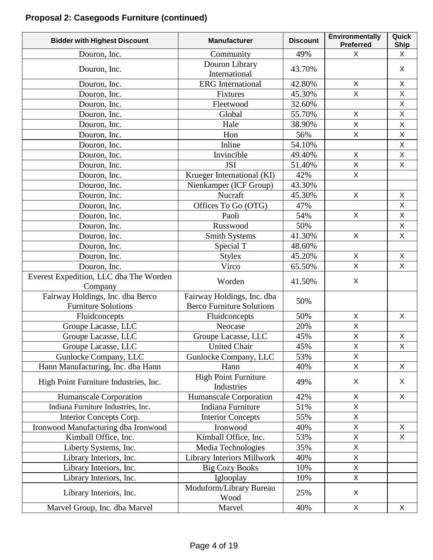# **Proposal 2: Casegoods Furniture (continued)**

| <b>Bidder with Highest Discount</b>               | <b>Manufacturer</b>                       | <b>Discount</b> | <b>Environmentally</b><br><b>Preferred</b> | Quick<br><b>Ship</b> |
|---------------------------------------------------|-------------------------------------------|-----------------|--------------------------------------------|----------------------|
| Douron, Inc.                                      | Community                                 | 49%             | X                                          | X                    |
| Douron, Inc.                                      | Douron Library<br>International           | 43.70%          |                                            | X                    |
| Douron, Inc.                                      | <b>ERG</b> International                  | 42.80%          | X                                          | X                    |
| Douron, Inc.                                      | Fixtures                                  | 45.30%          | $\overline{\mathsf{X}}$                    | $\mathsf{X}$         |
| Douron, Inc.                                      | Fleetwood                                 | 32.60%          |                                            | $\mathsf X$          |
| Douron, Inc.                                      | Global                                    | 55.70%          | X                                          | X                    |
| Douron, Inc.                                      | Hale                                      | 38.90%          | $\pmb{\times}$                             | $\mathsf{X}$         |
| Douron, Inc.                                      | Hon                                       | 56%             | $\mathsf{X}$                               | $\mathsf{X}$         |
| Douron, Inc.                                      | Inline                                    | 54.10%          |                                            | $\mathsf X$          |
| Douron, Inc.                                      | Invincible                                | 49.40%          | $\mathsf{X}$                               | $\mathsf{X}$         |
| Douron, Inc.                                      | <b>JSI</b>                                | 51.40%          | $\mathsf{X}$                               | X                    |
| Douron, Inc.                                      | Krueger International (KI)                | 42%             | $\mathsf{X}$                               |                      |
| Douron, Inc.                                      | Nienkamper (ICF Group)                    | 43.30%          |                                            |                      |
| Douron, Inc.                                      | Nucraft                                   | 45.30%          | X                                          | X                    |
| Douron, Inc.                                      | Offices To Go (OTG)                       | 47%             |                                            | $\mathsf{X}$         |
| Douron, Inc.                                      | Paoli                                     | 54%             | X                                          | X                    |
| Douron, Inc.                                      | Russwood                                  | 50%             |                                            | $\mathsf{X}$         |
| Douron, Inc.                                      | <b>Smith Systems</b>                      | 41.30%          | X                                          | $\mathsf X$          |
| Douron, Inc.                                      | Special T                                 | 48.60%          |                                            |                      |
| Douron, Inc.                                      | <b>Stylex</b>                             | 45.20%          | $\mathsf{X}$                               | $\mathsf{X}$         |
| Douron, Inc.                                      | Virco                                     | 65.50%          | X                                          | $\mathsf{X}$         |
| Everest Expedition, LLC dba The Worden<br>Company | Worden                                    | 41.50%          | X                                          |                      |
| Fairway Holdings, Inc. dba Berco                  | Fairway Holdings, Inc. dba                | 50%             |                                            |                      |
| <b>Furniture Solutions</b>                        | <b>Berco Furniture Solutions</b>          |                 |                                            |                      |
| Fluidconcepts                                     | Fluidconcepts                             | 50%             | $\mathsf{X}$                               | $\mathsf{X}$         |
| Groupe Lacasse, LLC                               | Neocase                                   | 20%             | $\mathsf{X}$                               |                      |
| Groupe Lacasse, LLC                               | Groupe Lacasse, LLC                       | 45%             | $\mathsf X$                                | $\mathsf{X}$         |
| Groupe Lacasse, LLC                               | <b>United Chair</b>                       | 45%             | $\mathsf X$                                | $\mathsf X$          |
| Gunlocke Company, LLC                             | Gunlocke Company, LLC                     | 53%             | X                                          |                      |
| Hann Manufacturing, Inc. dba Hann                 | Hann                                      | 40%             | X                                          | X                    |
| High Point Furniture Industries, Inc.             | <b>High Point Furniture</b><br>Industries | 49%             | X                                          | X                    |
| Humanscale Corporation                            | Humanscale Corporation                    | 42%             | $\pmb{\times}$                             | $\mathsf X$          |
| Indiana Furniture Industries, Inc.                | Indiana Furniture                         | 51%             | X                                          |                      |
| Interior Concepts Corp.                           | <b>Interior Concepts</b>                  | 55%             | $\pmb{\times}$                             |                      |
| Ironwood Manufacturing dba Ironwood               | Ironwood                                  | 40%             | $\mathsf X$                                | X                    |
| Kimball Office, Inc.                              | Kimball Office, Inc.                      | 53%             | X                                          | X                    |
| Liberty Systems, Inc.                             | Media Technologies                        | 35%             | $\mathsf X$                                |                      |
| Library Interiors, Inc.                           | <b>Library Interiors Millwork</b>         | 40%             | X                                          |                      |
| Library Interiors, Inc.                           | <b>Big Cozy Books</b>                     | 10%             | X                                          |                      |
| Library Interiors, Inc.                           | Iglooplay                                 | 10%             | $\mathsf X$                                |                      |
| Library Interiors, Inc.                           | Moduform/Library Bureau<br>Wood           | 25%             | X                                          |                      |
| Marvel Group, Inc. dba Marvel                     | Marvel                                    | 40%             | $\pmb{\times}$                             | X                    |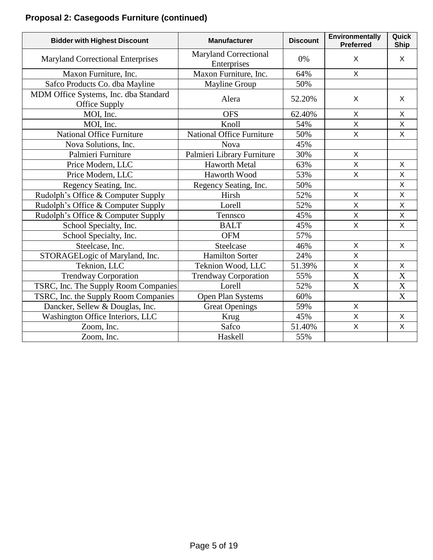# **Proposal 2: Casegoods Furniture (continued)**

| <b>Bidder with Highest Discount</b>                    | <b>Manufacturer</b>                         | <b>Discount</b> | Environmentally<br><b>Preferred</b> | Quick<br><b>Ship</b>      |
|--------------------------------------------------------|---------------------------------------------|-----------------|-------------------------------------|---------------------------|
| <b>Maryland Correctional Enterprises</b>               | <b>Maryland Correctional</b><br>Enterprises | 0%              | X                                   | X                         |
| Maxon Furniture, Inc.                                  | Maxon Furniture, Inc.                       | 64%             | $\mathsf{X}$                        |                           |
| Safco Products Co. dba Mayline                         | Mayline Group                               | 50%             |                                     |                           |
| MDM Office Systems, Inc. dba Standard<br>Office Supply | Alera                                       | 52.20%          | X                                   | $\mathsf{X}$              |
| MOI, Inc.                                              | <b>OFS</b>                                  | 62.40%          | $\mathsf{X}$                        | $\mathsf{X}$              |
| MOI, Inc.                                              | Knoll                                       | 54%             | X                                   | X                         |
| <b>National Office Furniture</b>                       | <b>National Office Furniture</b>            | 50%             | $\mathsf{X}$                        | $\mathsf{X}$              |
| Nova Solutions, Inc.                                   | Nova                                        | 45%             |                                     |                           |
| Palmieri Furniture                                     | Palmieri Library Furniture                  | 30%             | X                                   |                           |
| Price Modern, LLC                                      | <b>Haworth Metal</b>                        | 63%             | $\mathsf{X}$                        | X                         |
| Price Modern, LLC                                      | Haworth Wood                                | 53%             | $\mathsf{X}$                        | X                         |
| Regency Seating, Inc.                                  | Regency Seating, Inc.                       | 50%             |                                     | $\mathsf{X}$              |
| Rudolph's Office & Computer Supply                     | Hirsh                                       | 52%             | X                                   | X                         |
| Rudolph's Office & Computer Supply                     | Lorell                                      | 52%             | $\mathsf{X}$                        | $\mathsf{X}$              |
| Rudolph's Office & Computer Supply                     | Tennsco                                     | 45%             | $\mathsf{X}$                        | X                         |
| School Specialty, Inc.                                 | <b>BALT</b>                                 | 45%             | $\overline{\mathsf{X}}$             | $\mathsf{X}$              |
| School Specialty, Inc.                                 | <b>OFM</b>                                  | 57%             |                                     |                           |
| Steelcase, Inc.                                        | Steelcase                                   | 46%             | X                                   | X                         |
| STORAGELogic of Maryland, Inc.                         | <b>Hamilton Sorter</b>                      | 24%             | $\overline{X}$                      |                           |
| Teknion, LLC                                           | Teknion Wood, LLC                           | 51.39%          | $\mathsf{X}$                        | X                         |
| <b>Trendway Corporation</b>                            | <b>Trendway Corporation</b>                 | 55%             | $\overline{\text{X}}$               | $\mathbf X$               |
| TSRC, Inc. The Supply Room Companies                   | Lorell                                      | 52%             | X                                   | $\mathbf X$               |
| TSRC, Inc. the Supply Room Companies                   | Open Plan Systems                           | 60%             |                                     | $\boldsymbol{\mathrm{X}}$ |
| Dancker, Sellew & Douglas, Inc.                        | <b>Great Openings</b>                       | 59%             | X                                   |                           |
| Washington Office Interiors, LLC                       | Krug                                        | 45%             | $\overline{X}$                      | X                         |
| Zoom, Inc.                                             | Safco                                       | 51.40%          | $\mathsf{X}$                        | X                         |
| Zoom, Inc.                                             | Haskell                                     | 55%             |                                     |                           |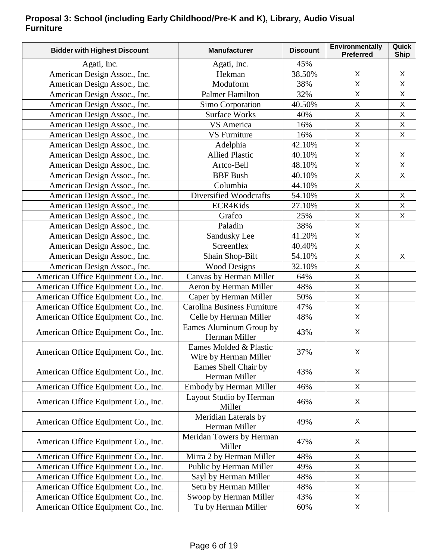### **Proposal 3: School (including Early Childhood/Pre-K and K), Library, Audio Visual Furniture**

| <b>Bidder with Highest Discount</b> | <b>Manufacturer</b>                             | <b>Discount</b> | <b>Environmentally</b><br><b>Preferred</b> | Quick<br><b>Ship</b> |
|-------------------------------------|-------------------------------------------------|-----------------|--------------------------------------------|----------------------|
| Agati, Inc.                         | Agati, Inc.                                     | 45%             |                                            |                      |
| American Design Assoc., Inc.        | Hekman                                          | 38.50%          | X                                          | X                    |
| American Design Assoc., Inc.        | Moduform                                        | 38%             | X                                          | X.                   |
| American Design Assoc., Inc.        | Palmer Hamilton                                 | 32%             | $\mathsf{X}$                               | $\mathsf{X}$         |
| American Design Assoc., Inc.        | Simo Corporation                                | 40.50%          | $\mathsf X$                                | X                    |
| American Design Assoc., Inc.        | <b>Surface Works</b>                            | 40%             | $\sf X$                                    | X                    |
| American Design Assoc., Inc.        | VS America                                      | 16%             | X                                          | X                    |
| American Design Assoc., Inc.        | <b>VS</b> Furniture                             | 16%             | $\mathsf{X}$                               | $\mathsf{X}$         |
| American Design Assoc., Inc.        | Adelphia                                        | 42.10%          | Χ                                          |                      |
| American Design Assoc., Inc.        | <b>Allied Plastic</b>                           | 40.10%          | $\sf X$                                    | X                    |
| American Design Assoc., Inc.        | Artco-Bell                                      | 48.10%          | X                                          | X                    |
| American Design Assoc., Inc.        | <b>BBF</b> Bush                                 | 40.10%          | X                                          | X                    |
| American Design Assoc., Inc.        | Columbia                                        | 44.10%          | $\overline{\mathsf{X}}$                    |                      |
| American Design Assoc., Inc.        | Diversified Woodcrafts                          | 54.10%          | $\sf X$                                    | X                    |
| American Design Assoc., Inc.        | ECR4Kids                                        | 27.10%          | X                                          | X                    |
| American Design Assoc., Inc.        | Grafco                                          | 25%             | $\mathsf X$                                | X                    |
| American Design Assoc., Inc.        | Paladin                                         | 38%             | X                                          |                      |
| American Design Assoc., Inc.        | Sandusky Lee                                    | 41.20%          | $\mathsf X$                                |                      |
| American Design Assoc., Inc.        | Screenflex                                      | 40.40%          | $\sf X$                                    |                      |
| American Design Assoc., Inc.        | Shain Shop-Bilt                                 | 54.10%          | $\mathsf X$                                | X                    |
| American Design Assoc., Inc.        | <b>Wood Designs</b>                             | 32.10%          | $\mathsf{X}$                               |                      |
| American Office Equipment Co., Inc. | Canvas by Herman Miller                         | 64%             | X                                          |                      |
| American Office Equipment Co., Inc. | Aeron by Herman Miller                          | 48%             | $\sf X$                                    |                      |
| American Office Equipment Co., Inc. | Caper by Herman Miller                          | 50%             | $\sf X$                                    |                      |
| American Office Equipment Co., Inc. | <b>Carolina Business Furniture</b>              | 47%             | $\sf X$                                    |                      |
| American Office Equipment Co., Inc. | Celle by Herman Miller                          | 48%             | $\overline{X}$                             |                      |
| American Office Equipment Co., Inc. | Eames Aluminum Group by<br>Herman Miller        | 43%             | X                                          |                      |
| American Office Equipment Co., Inc. | Eames Molded & Plastic<br>Wire by Herman Miller | 37%             | $\mathsf X$                                |                      |
| American Office Equipment Co., Inc. | Eames Shell Chair by<br>Herman Miller           | 43%             | X                                          |                      |
| American Office Equipment Co., Inc. | Embody by Herman Miller                         | 46%             | X                                          |                      |
| American Office Equipment Co., Inc. | Layout Studio by Herman<br>Miller               | 46%             | X                                          |                      |
| American Office Equipment Co., Inc. | Meridian Laterals by<br>Herman Miller           | 49%             | X                                          |                      |
| American Office Equipment Co., Inc. | Meridan Towers by Herman<br>Miller              | 47%             | X                                          |                      |
| American Office Equipment Co., Inc. | Mirra 2 by Herman Miller                        | 48%             | Χ                                          |                      |
| American Office Equipment Co., Inc. | Public by Herman Miller                         | 49%             | X                                          |                      |
| American Office Equipment Co., Inc. | Sayl by Herman Miller                           | 48%             | Χ                                          |                      |
| American Office Equipment Co., Inc. | Setu by Herman Miller                           | 48%             | X                                          |                      |
| American Office Equipment Co., Inc. | Swoop by Herman Miller                          | 43%             | Χ                                          |                      |
| American Office Equipment Co., Inc. | Tu by Herman Miller                             | 60%             | X                                          |                      |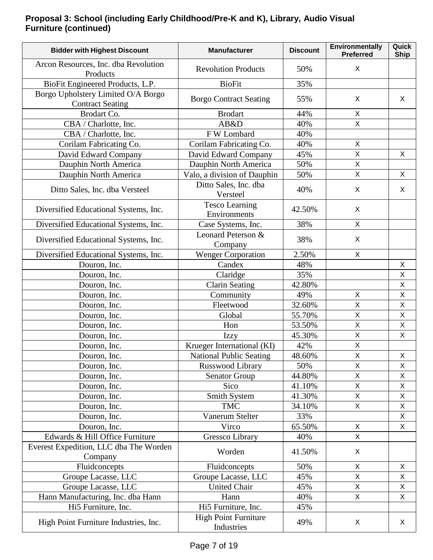### **Proposal 3: School (including Early Childhood/Pre-K and K), Library, Audio Visual Furniture (continued)**

| <b>Bidder with Highest Discount</b>                           | <b>Manufacturer</b>                       | <b>Discount</b> | Environmentally<br><b>Preferred</b> | Quick<br><b>Ship</b> |
|---------------------------------------------------------------|-------------------------------------------|-----------------|-------------------------------------|----------------------|
| Arcon Resources, Inc. dba Revolution<br>Products              | <b>Revolution Products</b>                | 50%             | X                                   |                      |
| BioFit Engineered Products, L.P.                              | <b>BioFit</b>                             | 35%             |                                     |                      |
| Borgo Upholstery Limited O/A Borgo<br><b>Contract Seating</b> | <b>Borgo Contract Seating</b>             | 55%             | X                                   | X                    |
| Brodart Co.                                                   | <b>Brodart</b>                            | 44%             | X                                   |                      |
| CBA / Charlotte, Inc.                                         | AB&D                                      | 40%             | X                                   |                      |
| CBA / Charlotte, Inc.                                         | F W Lombard                               | 40%             |                                     |                      |
| Corilam Fabricating Co.                                       | Corilam Fabricating Co.                   | 40%             | X                                   |                      |
| David Edward Company                                          | David Edward Company                      | 45%             | Χ                                   | X                    |
| Dauphin North America                                         | Dauphin North America                     | 50%             | X                                   |                      |
| Dauphin North America                                         | Valo, a division of Dauphin               | 50%             | X                                   | X                    |
| Ditto Sales, Inc. dba Versteel                                | Ditto Sales, Inc. dba<br>Versteel         | 40%             | X                                   | X                    |
| Diversified Educational Systems, Inc.                         | <b>Tesco Learning</b><br>Environments     | 42.50%          | X                                   |                      |
| Diversified Educational Systems, Inc.                         | Case Systems, Inc.                        | 38%             | $\mathsf X$                         |                      |
| Diversified Educational Systems, Inc.                         | Leonard Peterson &<br>Company             | 38%             | X                                   |                      |
| Diversified Educational Systems, Inc.                         | <b>Wenger Corporation</b>                 | 2.50%           | X                                   |                      |
| Douron, Inc.                                                  | Candex                                    | 48%             |                                     | X                    |
| Douron, Inc.                                                  | Claridge                                  | 35%             |                                     | Χ                    |
| Douron, Inc.                                                  | <b>Clarin Seating</b>                     | 42.80%          |                                     | X                    |
| Douron, Inc.                                                  | Community                                 | 49%             | X                                   | X                    |
| Douron, Inc.                                                  | Fleetwood                                 | 32.60%          | X                                   | X                    |
| Douron, Inc.                                                  | Global                                    | 55.70%          | X                                   | $\sf X$              |
| Douron, Inc.                                                  | Hon                                       | 53.50%          | X                                   | X                    |
| Douron, Inc.                                                  | Izzy                                      | 45.30%          | $\mathsf X$                         | X                    |
| Douron, Inc.                                                  | Krueger International (KI)                | 42%             | $\overline{X}$                      |                      |
| Douron, Inc.                                                  | <b>National Public Seating</b>            | 48.60%          | $\mathsf X$                         | X                    |
| Douron, Inc.                                                  | Russwood Library                          | 50%             | X                                   | X                    |
| Douron, Inc.                                                  | <b>Senator Group</b>                      | 44.80%          | X                                   | X                    |
| Douron, Inc.                                                  | Sico                                      | 41.10%          | Χ                                   | X                    |
| Douron, Inc.                                                  | Smith System                              | 41.30%          | X                                   | Χ                    |
| Douron, Inc.                                                  | <b>TMC</b>                                | 34.10%          | X                                   | X                    |
| Douron, Inc.                                                  | Vanerum Stelter                           | 33%             |                                     | X                    |
| Douron, Inc.                                                  | Virco                                     | 65.50%          | X                                   | X                    |
| Edwards & Hill Office Furniture                               | Gressco Library                           | 40%             | X                                   |                      |
| Everest Expedition, LLC dba The Worden<br>Company             | Worden                                    | 41.50%          | X                                   |                      |
| Fluidconcepts                                                 | Fluidconcepts                             | 50%             | X                                   | X                    |
| Groupe Lacasse, LLC                                           | Groupe Lacasse, LLC                       | 45%             | X                                   | X                    |
| Groupe Lacasse, LLC                                           | United Chair                              | 45%             | Χ                                   | X                    |
| Hann Manufacturing, Inc. dba Hann                             | Hann                                      | 40%             | X                                   | $\mathsf{X}$         |
| Hi5 Furniture, Inc.                                           | Hi5 Furniture, Inc.                       | 45%             |                                     |                      |
| High Point Furniture Industries, Inc.                         | <b>High Point Furniture</b><br>Industries | 49%             | X                                   | X                    |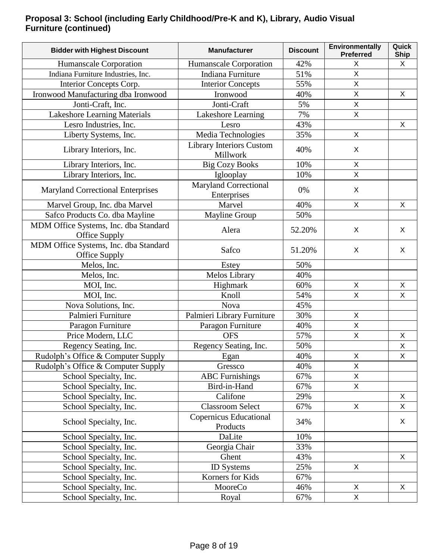### **Proposal 3: School (including Early Childhood/Pre-K and K), Library, Audio Visual Furniture (continued)**

| <b>Bidder with Highest Discount</b>                    | <b>Manufacturer</b>                         | <b>Discount</b> | Environmentally<br><b>Preferred</b> | Quick<br><b>Ship</b> |
|--------------------------------------------------------|---------------------------------------------|-----------------|-------------------------------------|----------------------|
| Humanscale Corporation                                 | Humanscale Corporation                      | 42%             | X                                   | X                    |
| Indiana Furniture Industries, Inc.                     | Indiana Furniture                           | 51%             | $\overline{\mathsf{X}}$             |                      |
| Interior Concepts Corp.                                | <b>Interior Concepts</b>                    | 55%             | $\mathsf X$                         |                      |
| Ironwood Manufacturing dba Ironwood                    | Ironwood                                    | 40%             | $\overline{X}$                      | X                    |
| Jonti-Craft, Inc.                                      | Jonti-Craft                                 | 5%              | $\sf X$                             |                      |
| Lakeshore Learning Materials                           | Lakeshore Learning                          | 7%              | X                                   |                      |
| Lesro Industries, Inc.                                 | Lesro                                       | 43%             |                                     | X                    |
| Liberty Systems, Inc.                                  | Media Technologies                          | 35%             | X                                   |                      |
| Library Interiors, Inc.                                | <b>Library Interiors Custom</b><br>Millwork | 40%             | X                                   |                      |
| Library Interiors, Inc.                                | <b>Big Cozy Books</b>                       | 10%             | $\mathsf{X}$                        |                      |
| Library Interiors, Inc.                                | Iglooplay                                   | 10%             | $\mathsf{X}$                        |                      |
| <b>Maryland Correctional Enterprises</b>               | <b>Maryland Correctional</b><br>Enterprises | 0%              | X                                   |                      |
| Marvel Group, Inc. dba Marvel                          | Marvel                                      | 40%             | $\mathsf{X}$                        | X                    |
| Safco Products Co. dba Mayline                         | Mayline Group                               | 50%             |                                     |                      |
| MDM Office Systems, Inc. dba Standard<br>Office Supply | Alera                                       | 52.20%          | X                                   | X                    |
| MDM Office Systems, Inc. dba Standard<br>Office Supply | Safco                                       | 51.20%          | X                                   | X                    |
| Melos, Inc.                                            | Estey                                       | 50%             |                                     |                      |
| Melos, Inc.                                            | Melos Library                               | 40%             |                                     |                      |
| MOI, Inc.                                              | Highmark                                    | 60%             | $\mathsf{X}$                        | X                    |
| MOI, Inc.                                              | Knoll                                       | 54%             | $\sf X$                             | $\sf X$              |
| Nova Solutions, Inc.                                   | Nova                                        | 45%             |                                     |                      |
| Palmieri Furniture                                     | Palmieri Library Furniture                  | 30%             | $\sf X$                             |                      |
| Paragon Furniture                                      | Paragon Furniture                           | 40%             | X                                   |                      |
| Price Modern, LLC                                      | <b>OFS</b>                                  | 57%             | $\mathsf{X}$                        | X                    |
| Regency Seating, Inc.                                  | Regency Seating, Inc.                       | 50%             |                                     | $\sf X$              |
| Rudolph's Office & Computer Supply                     | Egan                                        | 40%             | X                                   | X                    |
| Rudolph's Office & Computer Supply                     | Gressco                                     | 40%             | X                                   |                      |
| School Specialty, Inc.                                 | <b>ABC</b> Furnishings                      | 67%             | $\mathsf{X}$                        |                      |
| School Specialty, Inc.                                 | Bird-in-Hand                                | 67%             | $\mathsf{X}$                        |                      |
| School Specialty, Inc.                                 | Califone                                    | 29%             |                                     | X                    |
| School Specialty, Inc.                                 | <b>Classroom Select</b>                     | 67%             | $\mathsf X$                         | X                    |
| School Specialty, Inc.                                 | <b>Copernicus Educational</b><br>Products   | 34%             |                                     | X                    |
| School Specialty, Inc.                                 | DaLite                                      | 10%             |                                     |                      |
| School Specialty, Inc.                                 | Georgia Chair                               | 33%             |                                     |                      |
| School Specialty, Inc.                                 | Ghent                                       | 43%             |                                     | $\mathsf{X}$         |
| School Specialty, Inc.                                 | <b>ID</b> Systems                           | 25%             | X                                   |                      |
| School Specialty, Inc.                                 | Korners for Kids                            | 67%             |                                     |                      |
| School Specialty, Inc.                                 | MooreCo                                     | 46%             | X                                   | X                    |
| School Specialty, Inc.                                 | Royal                                       | 67%             | $\mathsf{X}$                        |                      |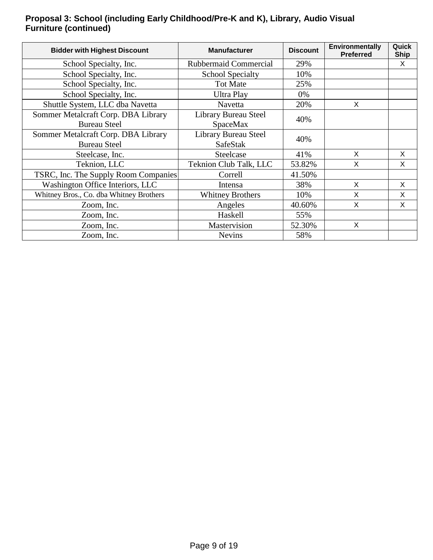### **Proposal 3: School (including Early Childhood/Pre-K and K), Library, Audio Visual Furniture (continued)**

| <b>Bidder with Highest Discount</b>     | <b>Manufacturer</b>          | <b>Discount</b> | Environmentally<br><b>Preferred</b> | Quick<br><b>Ship</b> |
|-----------------------------------------|------------------------------|-----------------|-------------------------------------|----------------------|
| School Specialty, Inc.                  | <b>Rubbermaid Commercial</b> | 29%             |                                     | X                    |
| School Specialty, Inc.                  | <b>School Specialty</b>      | 10%             |                                     |                      |
| School Specialty, Inc.                  | <b>Tot Mate</b>              | 25%             |                                     |                      |
| School Specialty, Inc.                  | Ultra Play                   | 0%              |                                     |                      |
| Shuttle System, LLC dba Navetta         | <b>Navetta</b>               | 20%             | X                                   |                      |
| Sommer Metalcraft Corp. DBA Library     | Library Bureau Steel         | 40%             |                                     |                      |
| <b>Bureau Steel</b>                     | <b>SpaceMax</b>              |                 |                                     |                      |
| Sommer Metalcraft Corp. DBA Library     | Library Bureau Steel         | 40%             |                                     |                      |
| <b>Bureau Steel</b>                     | <b>SafeStak</b>              |                 |                                     |                      |
| Steelcase, Inc.                         | Steelcase                    | 41%             | X                                   | $\times$             |
| Teknion, LLC                            | Teknion Club Talk, LLC       | 53.82%          | X                                   | X                    |
| TSRC, Inc. The Supply Room Companies    | Correll                      | 41.50%          |                                     |                      |
| Washington Office Interiors, LLC        | Intensa                      | 38%             | X                                   | X                    |
| Whitney Bros., Co. dba Whitney Brothers | <b>Whitney Brothers</b>      | 10%             | X                                   | X                    |
| Zoom, Inc.                              | Angeles                      | 40.60%          | X                                   | X                    |
| Zoom, Inc.                              | Haskell                      | 55%             |                                     |                      |
| Zoom, Inc.                              | Mastervision                 | 52.30%          | X                                   |                      |
| Zoom, Inc.                              | <b>Nevins</b>                | 58%             |                                     |                      |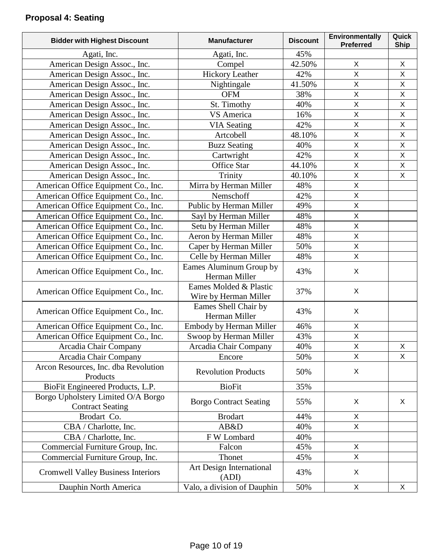# **Proposal 4: Seating**

| <b>Bidder with Highest Discount</b>                           | <b>Manufacturer</b>                             | <b>Discount</b> | Environmentally<br><b>Preferred</b> | Quick<br><b>Ship</b> |
|---------------------------------------------------------------|-------------------------------------------------|-----------------|-------------------------------------|----------------------|
| Agati, Inc.                                                   | Agati, Inc.                                     | 45%             |                                     |                      |
| American Design Assoc., Inc.                                  | Compel                                          | 42.50%          | X                                   | X                    |
| American Design Assoc., Inc.                                  | <b>Hickory Leather</b>                          | 42%             | X                                   | $\pmb{\times}$       |
| American Design Assoc., Inc.                                  | Nightingale                                     | 41.50%          | X                                   | X                    |
| American Design Assoc., Inc.                                  | <b>OFM</b>                                      | 38%             | $\overline{\mathsf{X}}$             | $\mathsf{X}$         |
| American Design Assoc., Inc.                                  | St. Timothy                                     | 40%             | X                                   | $\mathsf X$          |
| American Design Assoc., Inc.                                  | VS America                                      | 16%             | X                                   | X                    |
| American Design Assoc., Inc.                                  | <b>VIA Seating</b>                              | 42%             | X                                   | $\pmb{\times}$       |
| American Design Assoc., Inc.                                  | Artcobell                                       | 48.10%          | X                                   | $\mathsf X$          |
| American Design Assoc., Inc.                                  | <b>Buzz Seating</b>                             | 40%             | $\overline{\mathsf{X}}$             | $\mathsf{X}$         |
| American Design Assoc., Inc.                                  | Cartwright                                      | 42%             | X                                   | $\mathsf X$          |
| American Design Assoc., Inc.                                  | Office Star                                     | 44.10%          | X                                   | X                    |
| American Design Assoc., Inc.                                  | Trinity                                         | 40.10%          | X                                   | X                    |
| American Office Equipment Co., Inc.                           | Mirra by Herman Miller                          | 48%             | $\overline{X}$                      |                      |
| American Office Equipment Co., Inc.                           | Nemschoff                                       | 42%             | X                                   |                      |
| American Office Equipment Co., Inc.                           | Public by Herman Miller                         | 49%             | X                                   |                      |
| American Office Equipment Co., Inc.                           | Sayl by Herman Miller                           | 48%             | X                                   |                      |
| American Office Equipment Co., Inc.                           | Setu by Herman Miller                           | 48%             | $\overline{\mathsf{X}}$             |                      |
| American Office Equipment Co., Inc.                           | Aeron by Herman Miller                          | 48%             | $\overline{X}$                      |                      |
| American Office Equipment Co., Inc.                           | Caper by Herman Miller                          | 50%             | X                                   |                      |
| American Office Equipment Co., Inc.                           | Celle by Herman Miller                          | 48%             | $\overline{X}$                      |                      |
| American Office Equipment Co., Inc.                           | Eames Aluminum Group by<br>Herman Miller        | 43%             | X                                   |                      |
| American Office Equipment Co., Inc.                           | Eames Molded & Plastic<br>Wire by Herman Miller | 37%             | X                                   |                      |
| American Office Equipment Co., Inc.                           | Eames Shell Chair by<br>Herman Miller           | 43%             | X                                   |                      |
| American Office Equipment Co., Inc.                           | Embody by Herman Miller                         | 46%             | X                                   |                      |
| American Office Equipment Co., Inc.                           | Swoop by Herman Miller                          | 43%             | X                                   |                      |
| Arcadia Chair Company                                         | Arcadia Chair Company                           | 40%             | $\mathsf X$                         | X                    |
| Arcadia Chair Company                                         | Encore                                          | 50%             | X                                   | X                    |
| Arcon Resources, Inc. dba Revolution<br>Products              | <b>Revolution Products</b>                      | 50%             | $\pmb{\times}$                      |                      |
| BioFit Engineered Products, L.P.                              | <b>BioFit</b>                                   | 35%             |                                     |                      |
| Borgo Upholstery Limited O/A Borgo<br><b>Contract Seating</b> | <b>Borgo Contract Seating</b>                   | 55%             | X                                   | X                    |
| Brodart Co.                                                   | <b>Brodart</b>                                  | 44%             | X                                   |                      |
| CBA / Charlotte, Inc.                                         | AB&D                                            | 40%             | X                                   |                      |
| CBA / Charlotte, Inc.                                         | F W Lombard                                     | 40%             |                                     |                      |
| Commercial Furniture Group, Inc.                              | Falcon                                          | 45%             | $\mathsf{X}$                        |                      |
| Commercial Furniture Group, Inc.                              | Thonet                                          | 45%             | $\overline{\mathsf{X}}$             |                      |
| <b>Cromwell Valley Business Interiors</b>                     | Art Design International<br>(ADI)               | 43%             | X                                   |                      |
| Dauphin North America                                         | Valo, a division of Dauphin                     | 50%             | X                                   | X                    |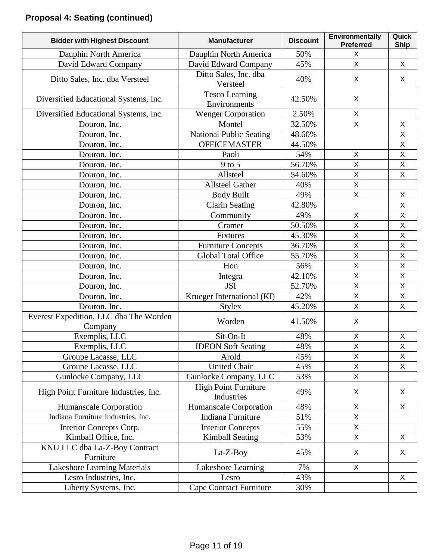| <b>Bidder with Highest Discount</b>               | <b>Manufacturer</b>                       | <b>Discount</b> | Environmentally<br><b>Preferred</b> | Quick<br><b>Ship</b> |
|---------------------------------------------------|-------------------------------------------|-----------------|-------------------------------------|----------------------|
| Dauphin North America                             | Dauphin North America                     | 50%             | X                                   |                      |
| David Edward Company                              | David Edward Company                      | 45%             | X                                   | $\mathsf{X}$         |
| Ditto Sales, Inc. dba Versteel                    | Ditto Sales, Inc. dba<br>Versteel         | 40%             | X                                   | X                    |
| Diversified Educational Systems, Inc.             | <b>Tesco Learning</b><br>Environments     | 42.50%          | X                                   |                      |
| Diversified Educational Systems, Inc.             | <b>Wenger Corporation</b>                 | 2.50%           | X                                   |                      |
| Douron, Inc.                                      | Montel                                    | 32.50%          | X                                   | X                    |
| Douron, Inc.                                      | <b>National Public Seating</b>            | 48.60%          |                                     | X                    |
| Douron, Inc.                                      | <b>OFFICEMASTER</b>                       | 44.50%          |                                     | $\pmb{\times}$       |
| Douron, Inc.                                      | Paoli                                     | 54%             | X                                   | $\mathsf X$          |
| Douron, Inc.                                      | $9$ to 5                                  | 56.70%          | X                                   | $\pmb{\times}$       |
| Douron, Inc.                                      | Allsteel                                  | 54.60%          | $\sf X$                             | $\pmb{\times}$       |
| Douron, Inc.                                      | <b>Allsteel Gather</b>                    | 40%             | X                                   |                      |
| Douron, Inc.                                      | <b>Body Built</b>                         | 49%             | $\overline{X}$                      | $\pmb{\times}$       |
| Douron, Inc.                                      | <b>Clarin Seating</b>                     | 42.80%          |                                     | $\pmb{\times}$       |
| Douron, Inc.                                      | Community                                 | 49%             | X                                   | X                    |
| Douron, Inc.                                      | Cramer                                    | 50.50%          | X                                   | $\pmb{\times}$       |
| Douron, Inc.                                      | Fixtures                                  | 45.30%          | $\overline{X}$                      | $\mathsf{X}$         |
| Douron, Inc.                                      | Furniture Concepts                        | 36.70%          | X                                   | X                    |
| Douron, Inc.                                      | <b>Global Total Office</b>                | 55.70%          | $\overline{\mathsf{X}}$             | $\mathsf X$          |
| Douron, Inc.                                      | Hon                                       | 56%             | $\pmb{\times}$                      | X                    |
| Douron, Inc.                                      | Integra                                   | 42.10%          | $\overline{\mathsf{X}}$             | $\mathsf X$          |
| Douron, Inc.                                      | <b>JSI</b>                                | 52.70%          | $\overline{X}$                      | $\overline{X}$       |
| Douron, Inc.                                      | Krueger International (KI)                | 42%             | $\mathsf{X}% _{0}$                  | $\pmb{\times}$       |
| Douron, Inc.                                      | <b>Stylex</b>                             | 45.20%          | X                                   | $\pmb{\times}$       |
| Everest Expedition, LLC dba The Worden<br>Company | Worden                                    | 41.50%          | X                                   |                      |
| Exemplis, LLC                                     | Sit-On-It                                 | 48%             | X                                   | X                    |
| Exemplis, LLC                                     | <b>IDEON Soft Seating</b>                 | 48%             | $\mathsf X$                         | X                    |
| Groupe Lacasse, LLC                               | Arold                                     | 45%             | X                                   | X                    |
| Groupe Lacasse, LLC                               | <b>United Chair</b>                       | 45%             | $\mathsf X$                         | X                    |
| Gunlocke Company, LLC                             | Gunlocke Company, LLC                     | 53%             | $\mathsf{X}$                        |                      |
| High Point Furniture Industries, Inc.             | <b>High Point Furniture</b><br>Industries | 49%             | X                                   | X                    |
| Humanscale Corporation                            | Humanscale Corporation                    | 48%             | X                                   | X                    |
| Indiana Furniture Industries, Inc.                | Indiana Furniture                         | 51%             | $\sf X$                             |                      |
| Interior Concepts Corp.                           | <b>Interior Concepts</b>                  | 55%             | X                                   |                      |
| Kimball Office, Inc.                              | <b>Kimball Seating</b>                    | 53%             | X                                   | X                    |
| KNU LLC dba La-Z-Boy Contract<br>Furniture        | La-Z-Boy                                  | 45%             | X                                   | X                    |
| Lakeshore Learning Materials                      | Lakeshore Learning                        | 7%              | X                                   |                      |
| Lesro Industries, Inc.                            | Lesro                                     | 43%             |                                     | X                    |
| Liberty Systems, Inc.                             | Cape Contract Furniture                   | 30%             |                                     |                      |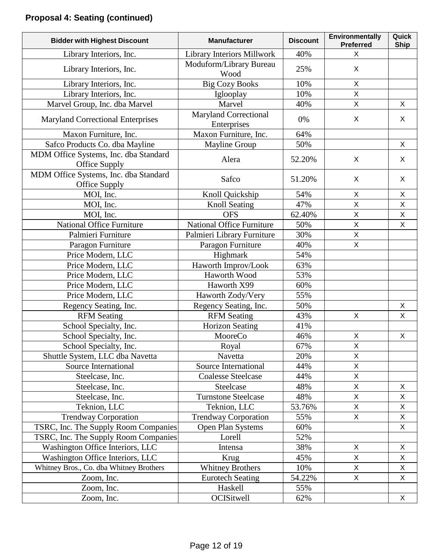| <b>Bidder with Highest Discount</b>                    | <b>Manufacturer</b>                         | <b>Discount</b> | Environmentally<br><b>Preferred</b> | Quick<br><b>Ship</b> |
|--------------------------------------------------------|---------------------------------------------|-----------------|-------------------------------------|----------------------|
| Library Interiors, Inc.                                | <b>Library Interiors Millwork</b>           | 40%             | X                                   |                      |
| Library Interiors, Inc.                                | Moduform/Library Bureau<br>Wood             | 25%             | X                                   |                      |
| Library Interiors, Inc.                                | <b>Big Cozy Books</b>                       | 10%             | X                                   |                      |
| Library Interiors, Inc.                                | Iglooplay                                   | 10%             | $\mathsf{X}$                        |                      |
| Marvel Group, Inc. dba Marvel                          | Marvel                                      | 40%             | $\mathsf{X}$                        | X                    |
| <b>Maryland Correctional Enterprises</b>               | <b>Maryland Correctional</b><br>Enterprises | 0%              | X                                   | X                    |
| Maxon Furniture, Inc.                                  | Maxon Furniture, Inc.                       | 64%             |                                     |                      |
| Safco Products Co. dba Mayline                         | <b>Mayline Group</b>                        | 50%             |                                     | $\mathsf{X}$         |
| MDM Office Systems, Inc. dba Standard<br>Office Supply | Alera                                       | 52.20%          | X                                   | $\mathsf{X}$         |
| MDM Office Systems, Inc. dba Standard<br>Office Supply | Safco                                       | 51.20%          | X                                   | X                    |
| MOI, Inc.                                              | Knoll Quickship                             | 54%             | X                                   | X                    |
| MOI, Inc.                                              | <b>Knoll Seating</b>                        | 47%             | $\mathsf{X}$                        | $\mathsf{X}$         |
| MOI, Inc.                                              | <b>OFS</b>                                  | 62.40%          | X                                   | $\mathsf X$          |
| <b>National Office Furniture</b>                       | <b>National Office Furniture</b>            | 50%             | X                                   | X                    |
| Palmieri Furniture                                     | Palmieri Library Furniture                  | 30%             | $\mathsf{X}$                        |                      |
| Paragon Furniture                                      | Paragon Furniture                           | 40%             | $\mathsf{X}$                        |                      |
| Price Modern, LLC                                      | Highmark                                    | 54%             |                                     |                      |
| Price Modern, LLC                                      | Haworth Improv/Look                         | 63%             |                                     |                      |
| Price Modern, LLC                                      | Haworth Wood                                | 53%             |                                     |                      |
| Price Modern, LLC                                      | Haworth X99                                 | 60%             |                                     |                      |
| Price Modern, LLC                                      | Haworth Zody/Very                           | 55%             |                                     |                      |
| Regency Seating, Inc.                                  | Regency Seating, Inc.                       | 50%             |                                     | X                    |
| <b>RFM</b> Seating                                     | <b>RFM</b> Seating                          | 43%             | X                                   | X                    |
| School Specialty, Inc.                                 | <b>Horizon Seating</b>                      | 41%             |                                     |                      |
| School Specialty, Inc.                                 | MooreCo                                     | 46%             | $\pmb{\times}$                      | X                    |
| School Specialty, Inc.                                 | Royal                                       | 67%             | $\mathsf X$                         |                      |
| Shuttle System, LLC dba Navetta                        | Navetta                                     | 20%             | X                                   |                      |
| Source International                                   | Source International                        | 44%             | $\mathsf{X}$                        |                      |
| Steelcase, Inc.                                        | <b>Coalesse Steelcase</b>                   | 44%             | $\mathsf{X}$                        |                      |
| Steelcase, Inc.                                        | Steelcase                                   | 48%             | $\mathsf X$                         | X                    |
| Steelcase, Inc.                                        | <b>Turnstone Steelcase</b>                  | 48%             | $\mathsf{X}$                        | X                    |
| Teknion, LLC                                           | Teknion, LLC                                | 53.76%          | X                                   | X                    |
| <b>Trendway Corporation</b>                            | <b>Trendway Corporation</b>                 | 55%             | X                                   | $\mathsf X$          |
| TSRC, Inc. The Supply Room Companies                   | Open Plan Systems                           | 60%             |                                     | X                    |
| TSRC, Inc. The Supply Room Companies                   | Lorell                                      | 52%             |                                     |                      |
| Washington Office Interiors, LLC                       | Intensa                                     | 38%             | X                                   | X                    |
| Washington Office Interiors, LLC                       | Krug                                        | 45%             | X                                   | X                    |
| Whitney Bros., Co. dba Whitney Brothers                | <b>Whitney Brothers</b>                     | 10%             | X                                   | X                    |
| Zoom, Inc.                                             | <b>Eurotech Seating</b>                     | 54.22%          | $\mathsf X$                         | X                    |
| Zoom, Inc.                                             | Haskell                                     | 55%             |                                     |                      |
| Zoom, Inc.                                             | OCISitwell                                  | 62%             |                                     | X                    |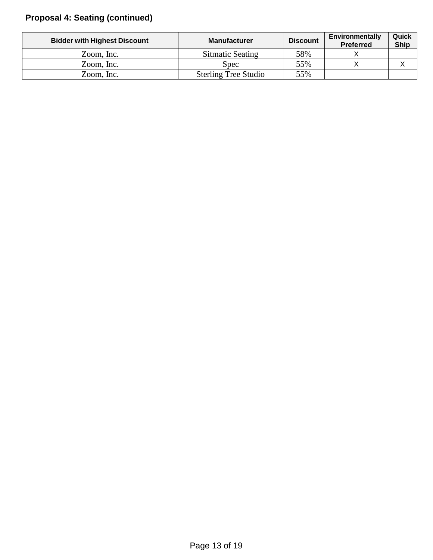# **Proposal 4: Seating (continued)**

| <b>Bidder with Highest Discount</b> | <b>Manufacturer</b>         | <b>Discount</b> | <b>Environmentally</b><br><b>Preferred</b> | Quick<br><b>Ship</b> |
|-------------------------------------|-----------------------------|-----------------|--------------------------------------------|----------------------|
| Zoom, Inc.                          | Sitmatic Seating            | 58%             |                                            |                      |
| Zoom, Inc.                          | Spec:                       | 55%             |                                            |                      |
| Zoom, Inc.                          | <b>Sterling Tree Studio</b> | 55%             |                                            |                      |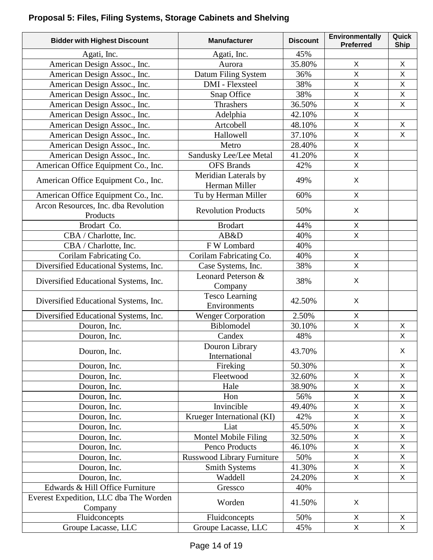# **Proposal 5: Files, Filing Systems, Storage Cabinets and Shelving**

| <b>Bidder with Highest Discount</b>               | <b>Manufacturer</b>                   | <b>Discount</b> | Environmentally<br><b>Preferred</b> | Quick<br><b>Ship</b> |
|---------------------------------------------------|---------------------------------------|-----------------|-------------------------------------|----------------------|
| Agati, Inc.                                       | Agati, Inc.                           | 45%             |                                     |                      |
| American Design Assoc., Inc.                      | Aurora                                | 35.80%          | X                                   | X                    |
| American Design Assoc., Inc.                      | Datum Filing System                   | 36%             | X                                   | $\pmb{\times}$       |
| American Design Assoc., Inc.                      | <b>DMI</b> - Flexsteel                | 38%             | X                                   | $\mathsf X$          |
| American Design Assoc., Inc.                      | Snap Office                           | 38%             | $\overline{\mathsf{x}}$             | $\mathsf{X}$         |
| American Design Assoc., Inc.                      | Thrashers                             | 36.50%          | X                                   | $\mathsf X$          |
| American Design Assoc., Inc.                      | Adelphia                              | 42.10%          | X                                   |                      |
| American Design Assoc., Inc.                      | Artcobell                             | 48.10%          | X                                   | $\mathsf{X}$         |
| American Design Assoc., Inc.                      | Hallowell                             | 37.10%          | $\mathsf{X}$                        | X                    |
| American Design Assoc., Inc.                      | Metro                                 | 28.40%          | X                                   |                      |
| American Design Assoc., Inc.                      | Sandusky Lee/Lee Metal                | 41.20%          | $\overline{\mathsf{X}}$             |                      |
| American Office Equipment Co., Inc.               | <b>OFS</b> Brands                     | 42%             | $\mathsf{X}$                        |                      |
| American Office Equipment Co., Inc.               | Meridian Laterals by<br>Herman Miller | 49%             | $\mathsf{X}$                        |                      |
| American Office Equipment Co., Inc.               | Tu by Herman Miller                   | 60%             | X                                   |                      |
| Arcon Resources, Inc. dba Revolution<br>Products  | <b>Revolution Products</b>            | 50%             | X                                   |                      |
| Brodart Co.                                       | <b>Brodart</b>                        | 44%             | X                                   |                      |
| CBA / Charlotte, Inc.                             | AB&D                                  | 40%             | $\mathsf{X}% _{0}$                  |                      |
| CBA / Charlotte, Inc.                             | F W Lombard                           | 40%             |                                     |                      |
| Corilam Fabricating Co.                           | Corilam Fabricating Co.               | 40%             | $\mathsf X$                         |                      |
| Diversified Educational Systems, Inc.             | Case Systems, Inc.                    | 38%             | $\overline{X}$                      |                      |
|                                                   | Leonard Peterson &                    |                 |                                     |                      |
| Diversified Educational Systems, Inc.             | Company                               | 38%             | X                                   |                      |
| Diversified Educational Systems, Inc.             | <b>Tesco Learning</b><br>Environments | 42.50%          | X                                   |                      |
| Diversified Educational Systems, Inc.             | <b>Wenger Corporation</b>             | 2.50%           | X                                   |                      |
| Douron, Inc.                                      | Biblomodel                            | 30.10%          | $\mathsf{X}$                        | X                    |
| Douron, Inc.                                      | Candex                                | 48%             |                                     | X                    |
| Douron, Inc.                                      | Douron Library<br>International       | 43.70%          |                                     | $\mathsf X$          |
| Douron, Inc.                                      | Fireking                              | 50.30%          |                                     | $\mathsf{X}$         |
| Douron, Inc.                                      | Fleetwood                             | 32.60%          | X                                   | X                    |
| Douron, Inc.                                      | Hale                                  | 38.90%          | X                                   | X                    |
| Douron, Inc.                                      | Hon                                   | 56%             | X                                   | $\mathsf{X}$         |
| Douron, Inc.                                      | Invincible                            | 49.40%          | X                                   | X                    |
| Douron, Inc.                                      | Krueger International (KI)            | 42%             | X                                   | X                    |
| Douron, Inc.                                      | Liat                                  | 45.50%          | X                                   | $\mathsf X$          |
| Douron, Inc.                                      | Montel Mobile Filing                  | 32.50%          | X                                   | X                    |
| Douron, Inc.                                      | Penco Products                        | 46.10%          | X                                   | $\mathsf{X}$         |
| Douron, Inc.                                      | <b>Russwood Library Furniture</b>     | 50%             | $\overline{X}$                      | $\mathsf X$          |
| Douron, Inc.                                      | <b>Smith Systems</b>                  | 41.30%          | X                                   | X                    |
| Douron, Inc.                                      | Waddell                               | 24.20%          | X                                   | X                    |
| Edwards & Hill Office Furniture                   | Gressco                               | 40%             |                                     |                      |
| Everest Expedition, LLC dba The Worden<br>Company | Worden                                | 41.50%          | X                                   |                      |
| Fluidconcepts                                     | Fluidconcepts                         | 50%             | X                                   | X                    |
| Groupe Lacasse, LLC                               | Groupe Lacasse, LLC                   | 45%             | $\mathsf{X}$                        | $\mathsf{X}$         |
|                                                   |                                       |                 |                                     |                      |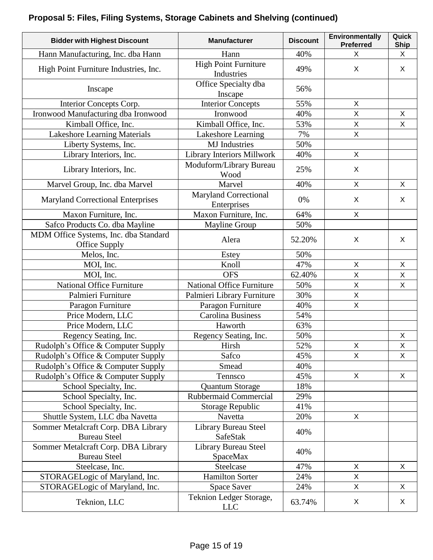# **Proposal 5: Files, Filing Systems, Storage Cabinets and Shelving (continued)**

| <b>Bidder with Highest Discount</b>                    | <b>Manufacturer</b>                         | <b>Discount</b> | Environmentally<br><b>Preferred</b> | Quick<br><b>Ship</b> |
|--------------------------------------------------------|---------------------------------------------|-----------------|-------------------------------------|----------------------|
| Hann Manufacturing, Inc. dba Hann                      | Hann                                        | 40%             | X                                   | X                    |
| High Point Furniture Industries, Inc.                  | <b>High Point Furniture</b><br>Industries   | 49%             | X                                   | X                    |
| Inscape                                                | Office Specialty dba<br>Inscape             | 56%             |                                     |                      |
| Interior Concepts Corp.                                | <b>Interior Concepts</b>                    | 55%             | X                                   |                      |
| Ironwood Manufacturing dba Ironwood                    | Ironwood                                    | 40%             | X                                   | X                    |
| Kimball Office, Inc.                                   | Kimball Office, Inc.                        | 53%             | $\overline{\mathsf{X}}$             | X                    |
| <b>Lakeshore Learning Materials</b>                    | Lakeshore Learning                          | 7%              | $\pmb{\times}$                      |                      |
| Liberty Systems, Inc.                                  | <b>MJ</b> Industries                        | 50%             |                                     |                      |
| Library Interiors, Inc.                                | <b>Library Interiors Millwork</b>           | 40%             | $\mathsf{X}$                        |                      |
| Library Interiors, Inc.                                | Moduform/Library Bureau<br>Wood             | 25%             | X                                   |                      |
| Marvel Group, Inc. dba Marvel                          | Marvel                                      | 40%             | X                                   | $\mathsf{X}$         |
| <b>Maryland Correctional Enterprises</b>               | <b>Maryland Correctional</b><br>Enterprises | 0%              | X                                   | X                    |
| Maxon Furniture, Inc.                                  | Maxon Furniture, Inc.                       | 64%             | X                                   |                      |
| Safco Products Co. dba Mayline                         | <b>Mayline Group</b>                        | 50%             |                                     |                      |
| MDM Office Systems, Inc. dba Standard<br>Office Supply | Alera                                       | 52.20%          | X                                   | X                    |
| Melos, Inc.                                            | Estey                                       | 50%             |                                     |                      |
| MOI, Inc.                                              | Knoll                                       | 47%             | X                                   | $\mathsf X$          |
| MOI, Inc.                                              | <b>OFS</b>                                  | 62.40%          | X                                   | X                    |
| <b>National Office Furniture</b>                       | <b>National Office Furniture</b>            | 50%             | $\sf X$                             | $\sf X$              |
| Palmieri Furniture                                     | Palmieri Library Furniture                  | 30%             | $\overline{X}$                      |                      |
| Paragon Furniture                                      | Paragon Furniture                           | 40%             | X                                   |                      |
| Price Modern, LLC                                      | <b>Carolina Business</b>                    | 54%             |                                     |                      |
| Price Modern, LLC                                      | Haworth                                     | 63%             |                                     |                      |
| Regency Seating, Inc.                                  | Regency Seating, Inc.                       | 50%             |                                     | X                    |
| Rudolph's Office & Computer Supply                     | Hirsh                                       | 52%             | X                                   | $\mathsf X$          |
| Rudolph's Office & Computer Supply                     | Safco                                       | 45%             | X                                   | X                    |
| Rudolph's Office & Computer Supply                     | Smead                                       | 40%             |                                     |                      |
| Rudolph's Office & Computer Supply                     | Tennsco                                     | 45%             | X                                   | X                    |
| School Specialty, Inc.                                 | <b>Quantum Storage</b>                      | 18%             |                                     |                      |
| School Specialty, Inc.                                 | <b>Rubbermaid Commercial</b>                | 29%             |                                     |                      |
| School Specialty, Inc.                                 | Storage Republic                            | 41%             |                                     |                      |
| Shuttle System, LLC dba Navetta                        | Navetta                                     | 20%             | X                                   |                      |
| Sommer Metalcraft Corp. DBA Library                    | Library Bureau Steel                        |                 |                                     |                      |
| <b>Bureau Steel</b>                                    | SafeStak                                    | 40%             |                                     |                      |
| Sommer Metalcraft Corp. DBA Library                    | Library Bureau Steel                        |                 |                                     |                      |
| <b>Bureau Steel</b>                                    | SpaceMax                                    | 40%             |                                     |                      |
| Steelcase, Inc.                                        | Steelcase                                   | 47%             | X                                   | X                    |
| STORAGELogic of Maryland, Inc.                         | <b>Hamilton Sorter</b>                      | 24%             | X                                   |                      |
| STORAGELogic of Maryland, Inc.                         | <b>Space Saver</b>                          | 24%             | X                                   | X                    |
| Teknion, LLC                                           | Teknion Ledger Storage,<br><b>LLC</b>       | 63.74%          | X                                   | X                    |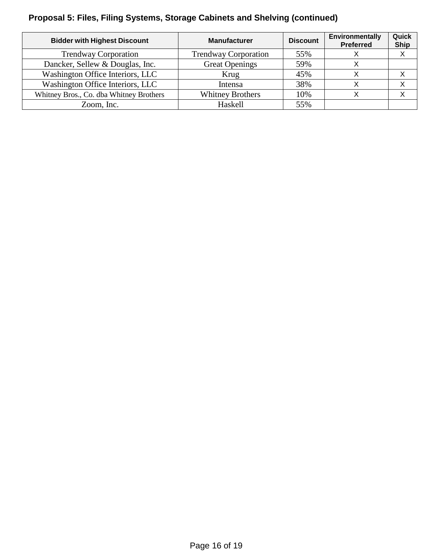# **Proposal 5: Files, Filing Systems, Storage Cabinets and Shelving (continued)**

| <b>Bidder with Highest Discount</b>     | <b>Manufacturer</b>         | <b>Discount</b> | Environmentally<br><b>Preferred</b> | Quick<br><b>Ship</b> |
|-----------------------------------------|-----------------------------|-----------------|-------------------------------------|----------------------|
| <b>Trendway Corporation</b>             | <b>Trendway Corporation</b> | 55%             |                                     |                      |
| Dancker, Sellew & Douglas, Inc.         | <b>Great Openings</b>       | 59%             |                                     |                      |
| Washington Office Interiors, LLC        | Krug                        | 45%             |                                     |                      |
| Washington Office Interiors, LLC        | Intensa                     | 38%             |                                     |                      |
| Whitney Bros., Co. dba Whitney Brothers | <b>Whitney Brothers</b>     | 10%             |                                     |                      |
| Zoom, Inc.                              | Haskell                     | 55%             |                                     |                      |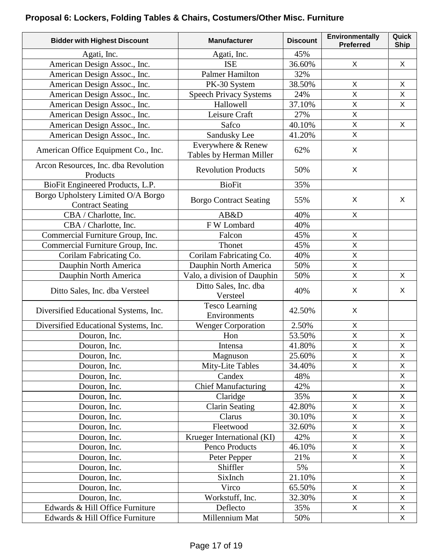# **Proposal 6: Lockers, Folding Tables & Chairs, Costumers/Other Misc. Furniture**

| <b>Bidder with Highest Discount</b>                           | <b>Manufacturer</b>                           | <b>Discount</b> | Environmentally<br><b>Preferred</b> | Quick<br><b>Ship</b> |
|---------------------------------------------------------------|-----------------------------------------------|-----------------|-------------------------------------|----------------------|
| Agati, Inc.                                                   | Agati, Inc.                                   | 45%             |                                     |                      |
| American Design Assoc., Inc.                                  | <b>ISE</b>                                    | 36.60%          | X                                   | X                    |
| American Design Assoc., Inc.                                  | <b>Palmer Hamilton</b>                        | 32%             |                                     |                      |
| American Design Assoc., Inc.                                  | PK-30 System                                  | 38.50%          | X                                   | X                    |
| American Design Assoc., Inc.                                  | <b>Speech Privacy Systems</b>                 | 24%             | $\mathsf{X}$                        | $\mathsf{X}$         |
| American Design Assoc., Inc.                                  | Hallowell                                     | 37.10%          | $\mathsf{X}$                        | X                    |
| American Design Assoc., Inc.                                  | Leisure Craft                                 | 27%             | $\mathsf{X}$                        |                      |
| American Design Assoc., Inc.                                  | Safco                                         | 40.10%          | $\mathsf{X}$                        | X                    |
| American Design Assoc., Inc.                                  | Sandusky Lee                                  | 41.20%          | $\mathsf X$                         |                      |
| American Office Equipment Co., Inc.                           | Everywhere & Renew<br>Tables by Herman Miller | 62%             | X                                   |                      |
| Arcon Resources, Inc. dba Revolution<br>Products              | <b>Revolution Products</b>                    | 50%             | X                                   |                      |
| BioFit Engineered Products, L.P.                              | <b>BioFit</b>                                 | 35%             |                                     |                      |
| Borgo Upholstery Limited O/A Borgo<br><b>Contract Seating</b> | <b>Borgo Contract Seating</b>                 | 55%             | X                                   | X                    |
| CBA / Charlotte, Inc.                                         | AB&D                                          | 40%             | X                                   |                      |
| CBA / Charlotte, Inc.                                         | F W Lombard                                   | 40%             |                                     |                      |
| Commercial Furniture Group, Inc.                              | Falcon                                        | 45%             | $\mathsf{X}$                        |                      |
| Commercial Furniture Group, Inc.                              | Thonet                                        | 45%             | $\mathsf X$                         |                      |
| Corilam Fabricating Co.                                       | Corilam Fabricating Co.                       | 40%             | $\mathsf X$                         |                      |
| Dauphin North America                                         | Dauphin North America                         | 50%             | $\mathsf{X}$                        |                      |
| Dauphin North America                                         | Valo, a division of Dauphin                   | 50%             | $\mathsf X$                         | X                    |
| Ditto Sales, Inc. dba Versteel                                | Ditto Sales, Inc. dba<br>Versteel             | 40%             | $\mathsf X$                         | X                    |
| Diversified Educational Systems, Inc.                         | <b>Tesco Learning</b><br>Environments         | 42.50%          | X                                   |                      |
| Diversified Educational Systems, Inc.                         | <b>Wenger Corporation</b>                     | 2.50%           | X                                   |                      |
| Douron, Inc.                                                  | Hon                                           | 53.50%          | $\mathsf X$                         | $\mathsf{X}$         |
| Douron, Inc.                                                  | Intensa                                       | 41.80%          | $\sf X$                             | $\mathsf X$          |
| Douron, Inc.                                                  | Magnuson                                      | 25.60%          | X                                   | X                    |
| Douron, Inc.                                                  | Mity-Lite Tables                              | 34.40%          | $\mathsf{X}$                        | X                    |
| Douron, Inc.                                                  | Candex                                        | 48%             |                                     | $\mathsf X$          |
| Douron, Inc.                                                  | <b>Chief Manufacturing</b>                    | 42%             |                                     | $\mathsf X$          |
| Douron, Inc.                                                  | Claridge                                      | 35%             | $\mathsf{X}$                        | $\mathsf X$          |
| Douron, Inc.                                                  | <b>Clarin Seating</b>                         | 42.80%          | $\mathsf{X}$                        | X                    |
| Douron, Inc.                                                  | Clarus                                        | 30.10%          | $\mathsf{X}$                        | $\mathsf X$          |
| Douron, Inc.                                                  | Fleetwood                                     | 32.60%          | $\mathsf{X}$                        | $\mathsf X$          |
| Douron, Inc.                                                  | Krueger International (KI)                    | 42%             | $\mathsf X$                         | $\mathsf X$          |
| Douron, Inc.                                                  | Penco Products                                | 46.10%          | $\mathsf{X}$                        | $\mathsf{X}$         |
| Douron, Inc.                                                  | Peter Pepper                                  | 21%             | $\mathsf X$                         | X                    |
| Douron, Inc.                                                  | Shiffler                                      | 5%              |                                     | $\mathsf{X}$         |
| Douron, Inc.                                                  | SixInch                                       | 21.10%          |                                     | X                    |
| Douron, Inc.                                                  | Virco                                         | 65.50%          | X                                   | X                    |
| Douron, Inc.                                                  | Workstuff, Inc.                               | 32.30%          | $\mathsf{X}$                        | $\mathsf{X}$         |
| Edwards & Hill Office Furniture                               | Deflecto                                      | 35%             | $\mathsf{X}$                        | X                    |
| Edwards & Hill Office Furniture                               | Millennium Mat                                | 50%             |                                     | $\mathsf{X}$         |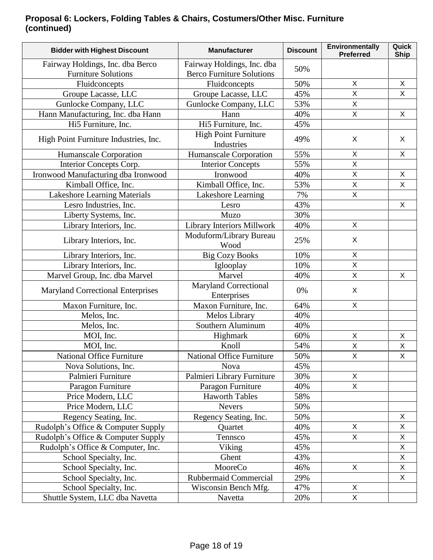### **Proposal 6: Lockers, Folding Tables & Chairs, Costumers/Other Misc. Furniture (continued)**

| <b>Bidder with Highest Discount</b>                            | <b>Manufacturer</b>                                            | <b>Discount</b> | <b>Environmentally</b><br><b>Preferred</b> | Quick<br><b>Ship</b> |
|----------------------------------------------------------------|----------------------------------------------------------------|-----------------|--------------------------------------------|----------------------|
| Fairway Holdings, Inc. dba Berco<br><b>Furniture Solutions</b> | Fairway Holdings, Inc. dba<br><b>Berco Furniture Solutions</b> | 50%             |                                            |                      |
| Fluidconcepts                                                  | Fluidconcepts                                                  | 50%             | X                                          | X                    |
| Groupe Lacasse, LLC                                            | Groupe Lacasse, LLC                                            | 45%             | $\overline{X}$                             | $\mathsf{X}$         |
| Gunlocke Company, LLC                                          | Gunlocke Company, LLC                                          | 53%             | $\overline{X}$                             |                      |
| Hann Manufacturing, Inc. dba Hann                              | Hann                                                           | 40%             | $\mathsf{X}$                               | $\mathsf{X}$         |
| Hi5 Furniture, Inc.                                            | Hi5 Furniture, Inc.                                            | 45%             |                                            |                      |
| High Point Furniture Industries, Inc.                          | <b>High Point Furniture</b><br>Industries                      | 49%             | X                                          | X                    |
| Humanscale Corporation                                         | Humanscale Corporation                                         | 55%             | $\mathsf{X}$                               | X                    |
| Interior Concepts Corp.                                        | <b>Interior Concepts</b>                                       | 55%             | $\mathsf{X}$                               |                      |
| Ironwood Manufacturing dba Ironwood                            | Ironwood                                                       | 40%             | $\mathsf{X}$                               | $\mathsf{X}$         |
| Kimball Office, Inc.                                           | Kimball Office, Inc.                                           | 53%             | X                                          | $\mathsf{X}$         |
| Lakeshore Learning Materials                                   | Lakeshore Learning                                             | 7%              | $\sf X$                                    |                      |
| Lesro Industries, Inc.                                         | Lesro                                                          | 43%             |                                            | X                    |
| Liberty Systems, Inc.                                          | Muzo                                                           | 30%             |                                            |                      |
| Library Interiors, Inc.                                        | Library Interiors Millwork                                     | 40%             | X                                          |                      |
| Library Interiors, Inc.                                        | Moduform/Library Bureau<br>Wood                                | 25%             | X                                          |                      |
| Library Interiors, Inc.                                        | <b>Big Cozy Books</b>                                          | 10%             | $\mathsf{X}$                               |                      |
| Library Interiors, Inc.                                        | Iglooplay                                                      | 10%             | $\overline{X}$                             |                      |
| Marvel Group, Inc. dba Marvel                                  | Marvel                                                         | 40%             | X                                          | X                    |
| <b>Maryland Correctional Enterprises</b>                       | <b>Maryland Correctional</b><br>Enterprises                    | 0%              | X                                          |                      |
| Maxon Furniture, Inc.                                          | Maxon Furniture, Inc.                                          | 64%             | X                                          |                      |
| Melos, Inc.                                                    | Melos Library                                                  | 40%             |                                            |                      |
| Melos, Inc.                                                    | Southern Aluminum                                              | 40%             |                                            |                      |
| MOI, Inc.                                                      | Highmark                                                       | 60%             | X                                          | X                    |
| MOI, Inc.                                                      | Knoll                                                          | 54%             | $\overline{\mathsf{X}}$                    | $\mathsf{X}$         |
| National Office Furniture                                      | National Office Furniture                                      | 50%             | X                                          | Χ                    |
| Nova Solutions, Inc.                                           | <b>Nova</b>                                                    | 45%             |                                            |                      |
| Palmieri Furniture                                             | Palmieri Library Furniture                                     | 30%             | X                                          |                      |
| Paragon Furniture                                              | Paragon Furniture                                              | 40%             | $\mathsf{X}$                               |                      |
| Price Modern, LLC                                              | <b>Haworth Tables</b>                                          | 58%             |                                            |                      |
| Price Modern, LLC                                              | <b>Nevers</b>                                                  | 50%             |                                            |                      |
| Regency Seating, Inc.                                          | Regency Seating, Inc.                                          | 50%             |                                            | X                    |
| Rudolph's Office & Computer Supply                             | Quartet                                                        | 40%             | X                                          | X                    |
| Rudolph's Office & Computer Supply                             | Tennsco                                                        | 45%             | $\mathsf{X}$                               | X                    |
| Rudolph's Office & Computer, Inc.                              | Viking                                                         | 45%             |                                            | $\mathsf X$          |
| School Specialty, Inc.                                         | Ghent                                                          | 43%             |                                            | X                    |
| School Specialty, Inc.                                         | MooreCo                                                        | 46%             | $\mathsf{X}$                               | X                    |
| School Specialty, Inc.                                         | Rubbermaid Commercial                                          | 29%             |                                            | X                    |
| School Specialty, Inc.                                         | Wisconsin Bench Mfg.                                           | 47%             | X                                          |                      |
| Shuttle System, LLC dba Navetta                                | Navetta                                                        | 20%             | $\mathsf{X}$                               |                      |